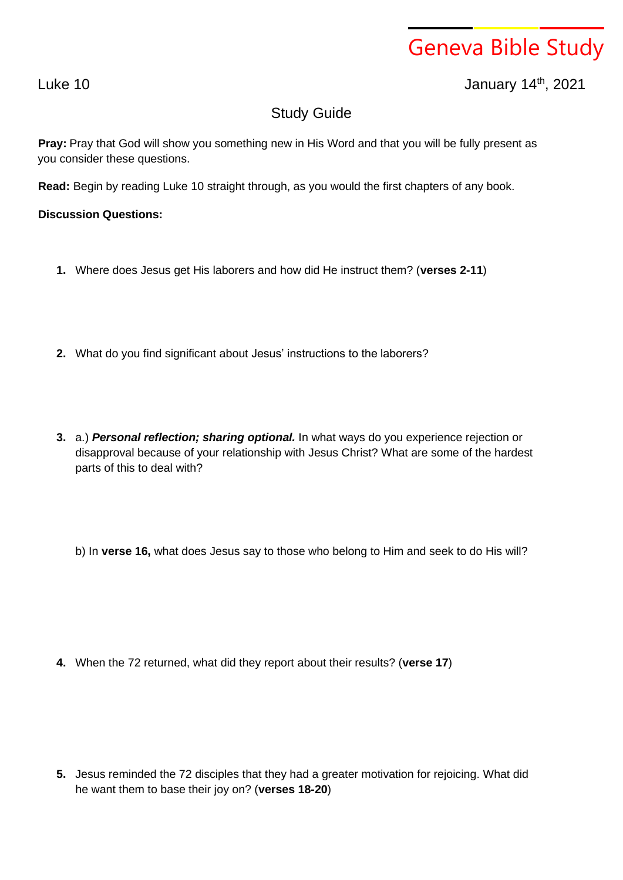## Geneva Bible Study

Luke 10 January 14th , 2021

## Study Guide

**Pray:** Pray that God will show you something new in His Word and that you will be fully present as you consider these questions.

**Read:** Begin by reading Luke 10 straight through, as you would the first chapters of any book.

## **Discussion Questions:**

- **1.** Where does Jesus get His laborers and how did He instruct them? (**verses 2-11**)
- **2.** What do you find significant about Jesus' instructions to the laborers?
- **3.** a.) *Personal reflection; sharing optional.* In what ways do you experience rejection or disapproval because of your relationship with Jesus Christ? What are some of the hardest parts of this to deal with?

b) In **verse 16,** what does Jesus say to those who belong to Him and seek to do His will?

**4.** When the 72 returned, what did they report about their results? (**verse 17**)

**5.** Jesus reminded the 72 disciples that they had a greater motivation for rejoicing. What did he want them to base their joy on? (**verses 18-20**)